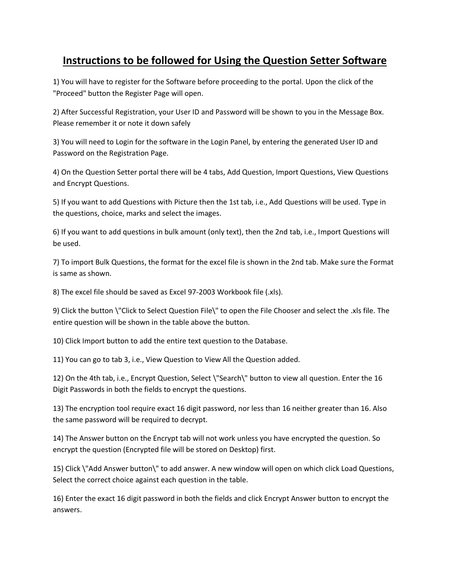## **Instructions to be followed for Using the Question Setter Software**

1) You will have to register for the Software before proceeding to the portal. Upon the click of the "Proceed" button the Register Page will open.

2) After Successful Registration, your User ID and Password will be shown to you in the Message Box. Please remember it or note it down safely

3) You will need to Login for the software in the Login Panel, by entering the generated User ID and Password on the Registration Page.

4) On the Question Setter portal there will be 4 tabs, Add Question, Import Questions, View Questions and Encrypt Questions.

5) If you want to add Questions with Picture then the 1st tab, i.e., Add Questions will be used. Type in the questions, choice, marks and select the images.

6) If you want to add questions in bulk amount (only text), then the 2nd tab, i.e., Import Questions will be used.

7) To import Bulk Questions, the format for the excel file is shown in the 2nd tab. Make sure the Format is same as shown.

8) The excel file should be saved as Excel 97-2003 Workbook file (.xls).

9) Click the button \"Click to Select Question File\" to open the File Chooser and select the .xls file. The entire question will be shown in the table above the button.

10) Click Import button to add the entire text question to the Database.

11) You can go to tab 3, i.e., View Question to View All the Question added.

12) On the 4th tab, i.e., Encrypt Question, Select \"Search\" button to view all question. Enter the 16 Digit Passwords in both the fields to encrypt the questions.

13) The encryption tool require exact 16 digit password, nor less than 16 neither greater than 16. Also the same password will be required to decrypt.

14) The Answer button on the Encrypt tab will not work unless you have encrypted the question. So encrypt the question (Encrypted file will be stored on Desktop) first.

15) Click \"Add Answer button\" to add answer. A new window will open on which click Load Questions, Select the correct choice against each question in the table.

16) Enter the exact 16 digit password in both the fields and click Encrypt Answer button to encrypt the answers.